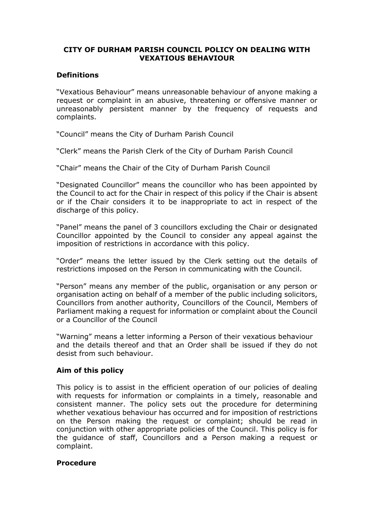## **CITY OF DURHAM PARISH COUNCIL POLICY ON DEALING WITH VEXATIOUS BEHAVIOUR**

# **Definitions**

"Vexatious Behaviour" means unreasonable behaviour of anyone making a request or complaint in an abusive, threatening or offensive manner or unreasonably persistent manner by the frequency of requests and complaints.

"Council" means the City of Durham Parish Council

"Clerk" means the Parish Clerk of the City of Durham Parish Council

"Chair" means the Chair of the City of Durham Parish Council

"Designated Councillor" means the councillor who has been appointed by the Council to act for the Chair in respect of this policy if the Chair is absent or if the Chair considers it to be inappropriate to act in respect of the discharge of this policy.

"Panel" means the panel of 3 councillors excluding the Chair or designated Councillor appointed by the Council to consider any appeal against the imposition of restrictions in accordance with this policy.

"Order" means the letter issued by the Clerk setting out the details of restrictions imposed on the Person in communicating with the Council.

"Person" means any member of the public, organisation or any person or organisation acting on behalf of a member of the public including solicitors, Councillors from another authority, Councillors of the Council, Members of Parliament making a request for information or complaint about the Council or a Councillor of the Council

"Warning" means a letter informing a Person of their vexatious behaviour and the details thereof and that an Order shall be issued if they do not desist from such behaviour.

## **Aim of this policy**

This policy is to assist in the efficient operation of our policies of dealing with requests for information or complaints in a timely, reasonable and consistent manner. The policy sets out the procedure for determining whether vexatious behaviour has occurred and for imposition of restrictions on the Person making the request or complaint; should be read in conjunction with other appropriate policies of the Council. This policy is for the guidance of staff, Councillors and a Person making a request or complaint.

#### **Procedure**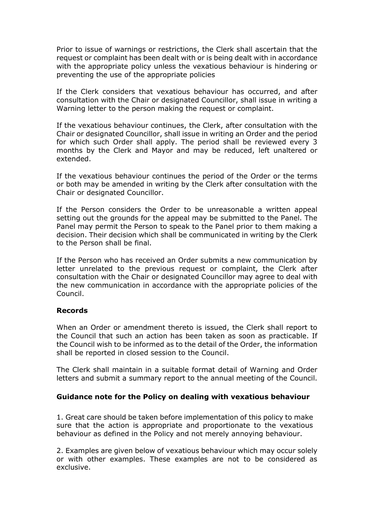Prior to issue of warnings or restrictions, the Clerk shall ascertain that the request or complaint has been dealt with or is being dealt with in accordance with the appropriate policy unless the vexatious behaviour is hindering or preventing the use of the appropriate policies

If the Clerk considers that vexatious behaviour has occurred, and after consultation with the Chair or designated Councillor, shall issue in writing a Warning letter to the person making the request or complaint.

If the vexatious behaviour continues, the Clerk, after consultation with the Chair or designated Councillor, shall issue in writing an Order and the period for which such Order shall apply. The period shall be reviewed every 3 months by the Clerk and Mayor and may be reduced, left unaltered or extended.

If the vexatious behaviour continues the period of the Order or the terms or both may be amended in writing by the Clerk after consultation with the Chair or designated Councillor.

If the Person considers the Order to be unreasonable a written appeal setting out the grounds for the appeal may be submitted to the Panel. The Panel may permit the Person to speak to the Panel prior to them making a decision. Their decision which shall be communicated in writing by the Clerk to the Person shall be final.

If the Person who has received an Order submits a new communication by letter unrelated to the previous request or complaint, the Clerk after consultation with the Chair or designated Councillor may agree to deal with the new communication in accordance with the appropriate policies of the Council.

#### **Records**

When an Order or amendment thereto is issued, the Clerk shall report to the Council that such an action has been taken as soon as practicable. If the Council wish to be informed as to the detail of the Order, the information shall be reported in closed session to the Council.

The Clerk shall maintain in a suitable format detail of Warning and Order letters and submit a summary report to the annual meeting of the Council.

## **Guidance note for the Policy on dealing with vexatious behaviour**

1. Great care should be taken before implementation of this policy to make sure that the action is appropriate and proportionate to the vexatious behaviour as defined in the Policy and not merely annoying behaviour.

2. Examples are given below of vexatious behaviour which may occur solely or with other examples. These examples are not to be considered as exclusive.